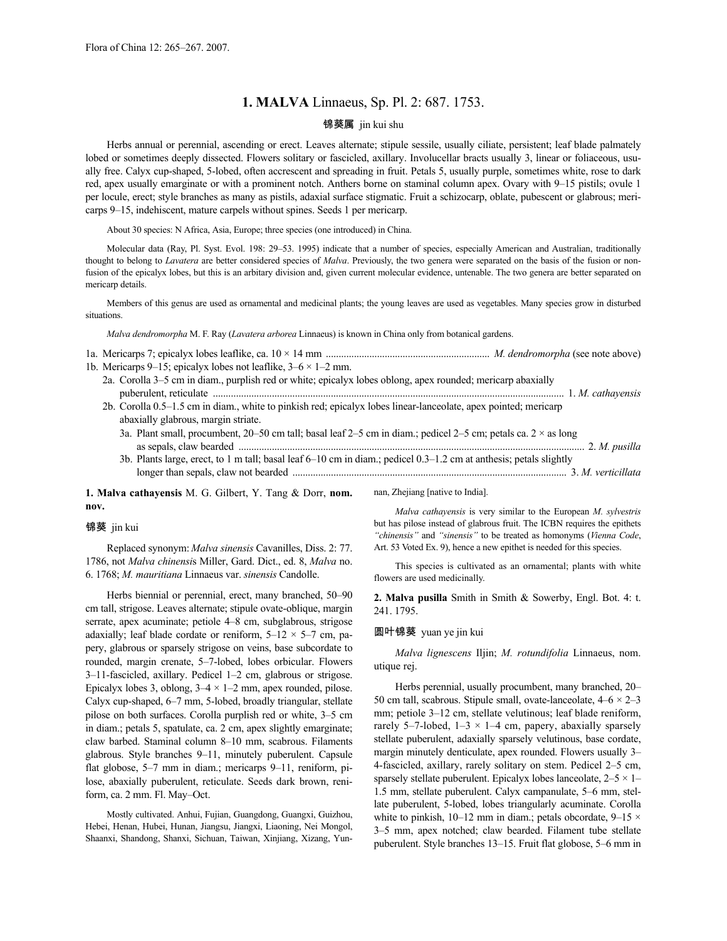# **1. MALVA** Linnaeus, Sp. Pl. 2: 687. 1753.

## 锦葵属 jin kui shu

Herbs annual or perennial, ascending or erect. Leaves alternate; stipule sessile, usually ciliate, persistent; leaf blade palmately lobed or sometimes deeply dissected. Flowers solitary or fascicled, axillary. Involucellar bracts usually 3, linear or foliaceous, usually free. Calyx cup-shaped, 5-lobed, often accrescent and spreading in fruit. Petals 5, usually purple, sometimes white, rose to dark red, apex usually emarginate or with a prominent notch. Anthers borne on staminal column apex. Ovary with 9–15 pistils; ovule 1 per locule, erect; style branches as many as pistils, adaxial surface stigmatic. Fruit a schizocarp, oblate, pubescent or glabrous; mericarps 9–15, indehiscent, mature carpels without spines. Seeds 1 per mericarp.

About 30 species: N Africa, Asia, Europe; three species (one introduced) in China.

Molecular data (Ray, Pl. Syst. Evol. 198: 29–53. 1995) indicate that a number of species, especially American and Australian, traditionally thought to belong to *Lavatera* are better considered species of *Malva*. Previously, the two genera were separated on the basis of the fusion or nonfusion of the epicalyx lobes, but this is an arbitary division and, given current molecular evidence, untenable. The two genera are better separated on mericarp details.

Members of this genus are used as ornamental and medicinal plants; the young leaves are used as vegetables. Many species grow in disturbed situations.

*Malva dendromorpha* M. F. Ray (*Lavatera arborea* Linnaeus) is known in China only from botanical gardens.

- 1a. Mericarps 7; epicalyx lobes leaflike, ca. 10 × 14 mm ................................................................ *M. dendromorpha* (see note above) 1b. Mericarps 9–15; epicalyx lobes not leaflike,  $3-6 \times 1-2$  mm.
	- 2a. Corolla 3–5 cm in diam., purplish red or white; epicalyx lobes oblong, apex rounded; mericarp abaxially puberulent, reticulate ......................................................................................................................................... 1. *M. cathayensis*
	- 2b. Corolla 0.5–1.5 cm in diam., white to pinkish red; epicalyx lobes linear-lanceolate, apex pointed; mericarp abaxially glabrous, margin striate.
		- 3a. Plant small, procumbent, 20–50 cm tall; basal leaf  $2-5$  cm in diam.; pedicel  $2-5$  cm; petals ca.  $2 \times$  as long as sepals, claw bearded ....................................................................................................................................... 2. *M. pusilla*
		- 3b. Plants large, erect, to 1 m tall; basal leaf 6–10 cm in diam.; pedicel 0.3–1.2 cm at anthesis; petals slightly longer than sepals, claw not bearded ........................................................................................................... 3. *M. verticillata*

**1. Malva cathayensis** M. G. Gilbert, Y. Tang & Dorr, **nom. nov.**

#### 锦葵 jin kui

Replaced synonym: *Malva sinensis* Cavanilles, Diss. 2: 77. 1786, not *Malva chinensi*s Miller, Gard. Dict., ed. 8, *Malva* no. 6. 1768; *M. mauritiana* Linnaeus var. *sinensis* Candolle.

Herbs biennial or perennial, erect, many branched, 50–90 cm tall, strigose. Leaves alternate; stipule ovate-oblique, margin serrate, apex acuminate; petiole 4–8 cm, subglabrous, strigose adaxially; leaf blade cordate or reniform,  $5-12 \times 5-7$  cm, papery, glabrous or sparsely strigose on veins, base subcordate to rounded, margin crenate, 5–7-lobed, lobes orbicular. Flowers 3–11-fascicled, axillary. Pedicel 1–2 cm, glabrous or strigose. Epicalyx lobes 3, oblong,  $3-4 \times 1-2$  mm, apex rounded, pilose. Calyx cup-shaped, 6–7 mm, 5-lobed, broadly triangular, stellate pilose on both surfaces. Corolla purplish red or white, 3–5 cm in diam.; petals 5, spatulate, ca. 2 cm, apex slightly emarginate; claw barbed. Staminal column 8–10 mm, scabrous. Filaments glabrous. Style branches 9–11, minutely puberulent. Capsule flat globose, 5–7 mm in diam.; mericarps 9–11, reniform, pilose, abaxially puberulent, reticulate. Seeds dark brown, reniform, ca. 2 mm. Fl. May–Oct.

Mostly cultivated. Anhui, Fujian, Guangdong, Guangxi, Guizhou, Hebei, Henan, Hubei, Hunan, Jiangsu, Jiangxi, Liaoning, Nei Mongol, Shaanxi, Shandong, Shanxi, Sichuan, Taiwan, Xinjiang, Xizang, Yunnan, Zhejiang [native to India].

*Malva cathayensis* is very similar to the European *M. sylvestris* but has pilose instead of glabrous fruit. The ICBN requires the epithets *"chinensis"* and *"sinensis"* to be treated as homonyms (*Vienna Code*, Art. 53 Voted Ex. 9), hence a new epithet is needed for this species.

This species is cultivated as an ornamental; plants with white flowers are used medicinally.

**2. Malva pusilla** Smith in Smith & Sowerby, Engl. Bot. 4: t. 241. 1795.

#### 圆叶锦葵 yuan ye jin kui

*Malva lignescens* Iljin; *M. rotundifolia* Linnaeus, nom. utique rej.

Herbs perennial, usually procumbent, many branched, 20– 50 cm tall, scabrous. Stipule small, ovate-lanceolate,  $4-6 \times 2-3$ mm; petiole 3–12 cm, stellate velutinous; leaf blade reniform, rarely 5–7-lobed,  $1-3 \times 1-4$  cm, papery, abaxially sparsely stellate puberulent, adaxially sparsely velutinous, base cordate, margin minutely denticulate, apex rounded. Flowers usually 3– 4-fascicled, axillary, rarely solitary on stem. Pedicel 2–5 cm, sparsely stellate puberulent. Epicalyx lobes lanceolate,  $2-5 \times 1-$ 1.5 mm, stellate puberulent. Calyx campanulate, 5–6 mm, stellate puberulent, 5-lobed, lobes triangularly acuminate. Corolla white to pinkish, 10–12 mm in diam.; petals obcordate,  $9-15 \times$ 3–5 mm, apex notched; claw bearded. Filament tube stellate puberulent. Style branches 13–15. Fruit flat globose, 5–6 mm in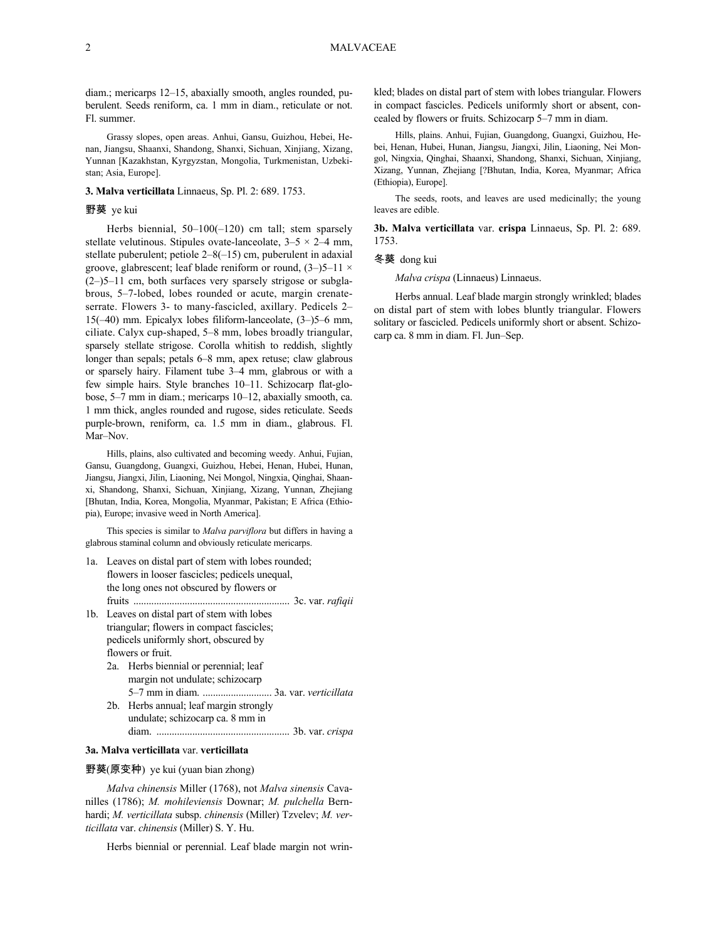diam.; mericarps 12–15, abaxially smooth, angles rounded, puberulent. Seeds reniform, ca. 1 mm in diam., reticulate or not. Fl. summer.

Grassy slopes, open areas. Anhui, Gansu, Guizhou, Hebei, Henan, Jiangsu, Shaanxi, Shandong, Shanxi, Sichuan, Xinjiang, Xizang, Yunnan [Kazakhstan, Kyrgyzstan, Mongolia, Turkmenistan, Uzbekistan; Asia, Europe].

**3. Malva verticillata** Linnaeus, Sp. Pl. 2: 689. 1753.

#### 野葵 ye kui

Herbs biennial, 50–100(–120) cm tall; stem sparsely stellate velutinous. Stipules ovate-lanceolate,  $3-5 \times 2-4$  mm, stellate puberulent; petiole 2–8(–15) cm, puberulent in adaxial groove, glabrescent; leaf blade reniform or round,  $(3-)5-11 \times$ (2–)5–11 cm, both surfaces very sparsely strigose or subglabrous, 5–7-lobed, lobes rounded or acute, margin crenateserrate. Flowers 3- to many-fascicled, axillary. Pedicels 2– 15(–40) mm. Epicalyx lobes filiform-lanceolate, (3–)5–6 mm, ciliate. Calyx cup-shaped, 5–8 mm, lobes broadly triangular, sparsely stellate strigose. Corolla whitish to reddish, slightly longer than sepals; petals 6–8 mm, apex retuse; claw glabrous or sparsely hairy. Filament tube 3–4 mm, glabrous or with a few simple hairs. Style branches 10–11. Schizocarp flat-globose, 5–7 mm in diam.; mericarps 10–12, abaxially smooth, ca. 1 mm thick, angles rounded and rugose, sides reticulate. Seeds purple-brown, reniform, ca. 1.5 mm in diam., glabrous. Fl. Mar–Nov.

Hills, plains, also cultivated and becoming weedy. Anhui, Fujian, Gansu, Guangdong, Guangxi, Guizhou, Hebei, Henan, Hubei, Hunan, Jiangsu, Jiangxi, Jilin, Liaoning, Nei Mongol, Ningxia, Qinghai, Shaanxi, Shandong, Shanxi, Sichuan, Xinjiang, Xizang, Yunnan, Zhejiang [Bhutan, India, Korea, Mongolia, Myanmar, Pakistan; E Africa (Ethiopia), Europe; invasive weed in North America].

This species is similar to *Malva parviflora* but differs in having a glabrous staminal column and obviously reticulate mericarps.

1a. Leaves on distal part of stem with lobes rounded; flowers in looser fascicles; pedicels unequal, the long ones not obscured by flowers or fruits ............................................................. 3c. var. *rafiqii* 1b. Leaves on distal part of stem with lobes triangular; flowers in compact fascicles; pedicels uniformly short, obscured by flowers or fruit. 2a. Herbs biennial or perennial; leaf margin not undulate; schizocarp 5–7 mm in diam. ........................... 3a. var. *verticillata* 2b. Herbs annual; leaf margin strongly undulate; schizocarp ca. 8 mm in diam. .................................................... 3b. var. *crispa*

#### **3a. Malva verticillata** var. **verticillata**

### 野葵(原变种) ye kui (yuan bian zhong)

*Malva chinensis* Miller (1768), not *Malva sinensis* Cavanilles (1786); *M. mohileviensis* Downar; *M. pulchella* Bernhardi; *M. verticillata* subsp. *chinensis* (Miller) Tzvelev; *M. verticillata* var. *chinensis* (Miller) S. Y. Hu.

Herbs biennial or perennial. Leaf blade margin not wrin-

kled; blades on distal part of stem with lobes triangular. Flowers in compact fascicles. Pedicels uniformly short or absent, concealed by flowers or fruits. Schizocarp 5–7 mm in diam.

Hills, plains. Anhui, Fujian, Guangdong, Guangxi, Guizhou, Hebei, Henan, Hubei, Hunan, Jiangsu, Jiangxi, Jilin, Liaoning, Nei Mongol, Ningxia, Qinghai, Shaanxi, Shandong, Shanxi, Sichuan, Xinjiang, Xizang, Yunnan, Zhejiang [?Bhutan, India, Korea, Myanmar; Africa (Ethiopia), Europe].

The seeds, roots, and leaves are used medicinally; the young leaves are edible.

**3b. Malva verticillata** var. **crispa** Linnaeus, Sp. Pl. 2: 689. 1753.

#### 冬葵 dong kui

*Malva crispa* (Linnaeus) Linnaeus.

Herbs annual. Leaf blade margin strongly wrinkled; blades on distal part of stem with lobes bluntly triangular. Flowers solitary or fascicled. Pedicels uniformly short or absent. Schizocarp ca. 8 mm in diam. Fl. Jun–Sep.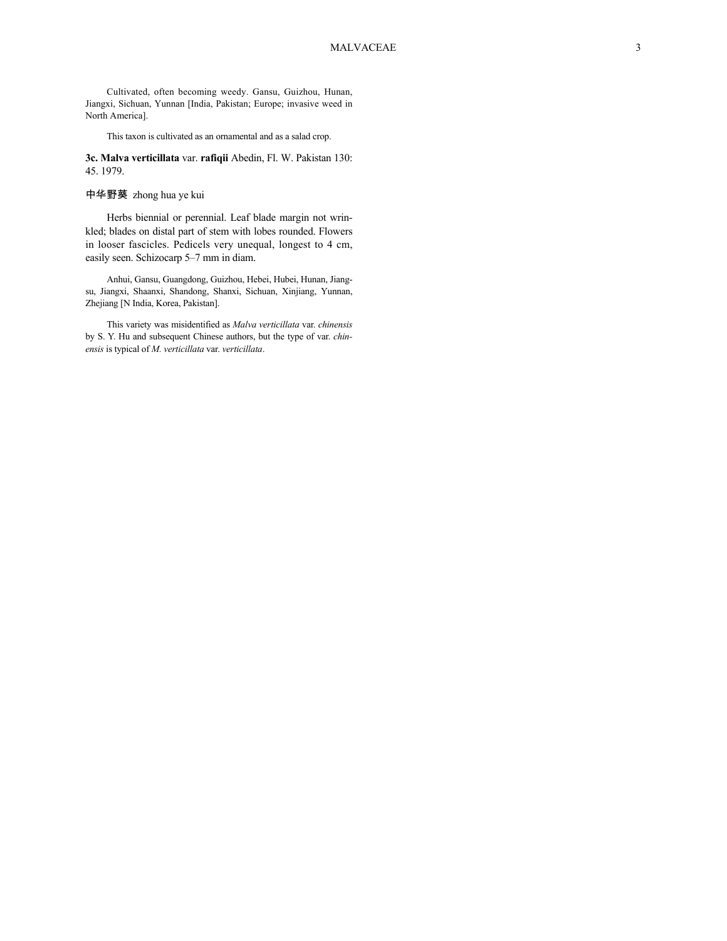Cultivated, often becoming weedy. Gansu, Guizhou, Hunan, Jiangxi, Sichuan, Yunnan [India, Pakistan; Europe; invasive weed in North America].

This taxon is cultivated as an ornamental and as a salad crop.

**3c. Malva verticillata** var. **rafiqii** Abedin, Fl. W. Pakistan 130: 45. 1979.

## 中华野葵 zhong hua ye kui

Herbs biennial or perennial. Leaf blade margin not wrinkled; blades on distal part of stem with lobes rounded. Flowers in looser fascicles. Pedicels very unequal, longest to 4 cm, easily seen. Schizocarp 5–7 mm in diam.

Anhui, Gansu, Guangdong, Guizhou, Hebei, Hubei, Hunan, Jiangsu, Jiangxi, Shaanxi, Shandong, Shanxi, Sichuan, Xinjiang, Yunnan, Zhejiang [N India, Korea, Pakistan].

This variety was misidentified as *Malva verticillata* var. *chinensis* by S. Y. Hu and subsequent Chinese authors, but the type of var. *chinensis* is typical of *M. verticillata* var. *verticillata*.